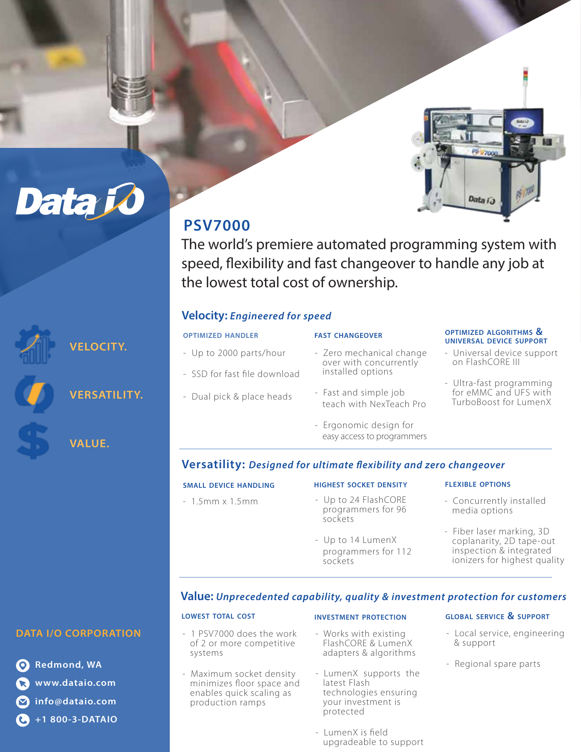

# **PSV7000**

The world's premiere automated programming system with speed, flexibility and fast changeover to handle any job at the lowest total cost of ownership.

## **Velocity:** *Engineered for speed*

- SSD for fast file download

- Dual pick & place heads

## - Up to 2000 parts/hour **OPTIMIZED HANDLER**

- Zero mechanical change over with concurrently installed options

**FAST CHANGEOVER**

- Fast and simple job teach with NexTeach Pro
- Ergonomic design for easy access to programmers

#### **OPTIMIZED ALGORITHMS & UNIVERSAL DEVICE SUPPORT**

- Universal device support on FlashCORE III
- Ultra-fast programming for eMMC and UFS with TurboBoost for LumenX

**VELOCITY.** 

**Data i** 

**VERSATILITY.** 

**VALUE.**

## Versatility: Designed for ultimate flexibility and zero changeover

| <b>SMALL DEVICE HANDLING</b> | <b>HIGHEST SOCKET DENSITY</b>                         | <b>FLEXIBLE OPTIONS</b>                               |
|------------------------------|-------------------------------------------------------|-------------------------------------------------------|
| $-1.5$ mm x $1.5$ mm         | - Up to 24 FlashCORE<br>programmers for 96<br>sockets | - Concurrently installed<br>media options             |
|                              | - Up to 14 LumenX                                     | - Fiber laser marking, 3D<br>coplanarity, 2D tape-out |

programmers for 112

## **Value:** *Unprecedented capability, quality & investment protection for customers*

## **DATA I/O CORPORATION**

**Redmond, WA www.dataio.com info@dataio.com +1 800-3-DATAIO**

#### **INVESTMENT PROTECTION**

sockets

- 1 PSV7000 does the work of 2 or more competitive systems

**LOWEST TOTAL COST**

- Maximum socket density minimizes floor space and enables quick scaling as production ramps
- Works with existing FlashCORE & LumenX adapters & algorithms
- LumenX supports the latest Flash technologies ensuring your investment is protected
- LumenX is field upgradeable to support

#### **GLOBAL SERVICE & SUPPORT**

 inspection & integrated ionizers for highest quality

- Local service, engineering & support
- Regional spare parts